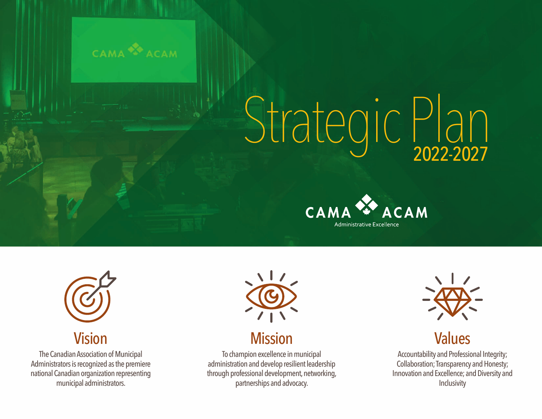

# Strategic Plan 2022-2027





#### Vision

The Canadian Association of Municipal Administrators is recognized as the premiere national Canadian organization representing municipal administrators.



#### **Mission**

To champion excellence in municipal administration and develop resilient leadership through professional development, networking, partnerships and advocacy.



### Values

Accountability and Professional Integrity; Collaboration; Transparency and Honesty; Innovation and Excellence; and Diversity and **Inclusivity**